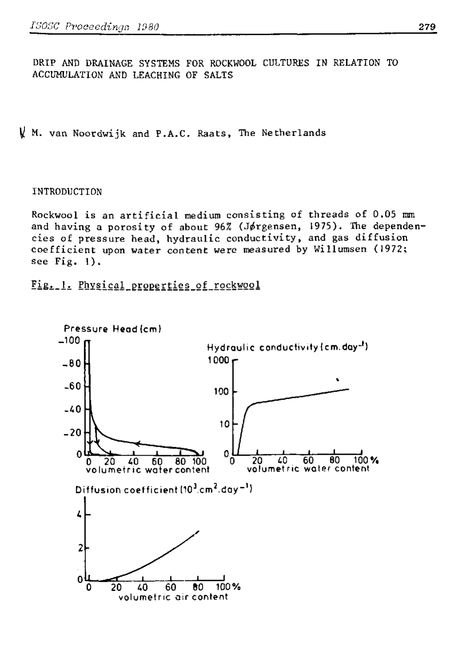DRIP AND DRAINAGE SYSTEMS FOR ROCKWOOL CULTURES IN RELATION TO ACCUMULATION AND LEACHING OF SALTS

 $\sqrt{k}$  M. van Noordwijk and P.A.C. Raats, The Netherlands

## INTRODUCTION

Rockwool is an artificial medium consisting of threads of  $0.05$  mm and having a porosity of about 96% (Jørgensen, 1975). The dependencies of pressure head, hydraulic conductivity, and gas diffusion coefficient upon water content were measured by Willumsen (1972; see Fig.  $1$ ).

Fig.1. Physical\_properties\_of\_rockwoo.

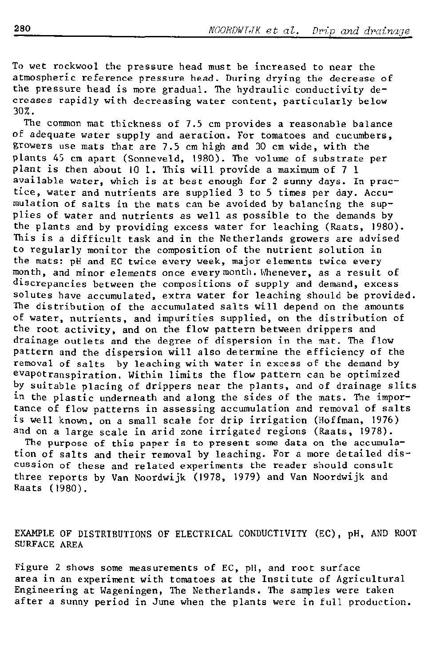To wet rockwool the pressure head must be increased to near the atmospheric reference pressure head. During drying the decrease of the pressure head is more gradual. The hydraulic conductivity decreases rapidly with decreasing water content, particularly below 30%.

The common mat thickness of 7.5 cm provides a reasonable balance of adequate water supply and aeration. For tomatoes and cucumbers, growers use mats that are 7.5 cm high and 30 cm wide, with the plants 45 cm apart (Sonneveld, 1980). The volume of substrate per plant is then about 10 1. This will provide a maximum of 7 1 available water, which is at best enough for 2 sunny days. In practice, water and nutrients are supplied 3 to 5 times per day. Accumulation of salts in the mats can be avoided by balancing the supplies of water and nutrients as well as possible to the demands by the plants and by providing excess water for leaching (Raats, 1980). This is a difficult task and in the Netherlands growers are advised to regularly monitor the composition of the nutrient solution in the mats: pH and EC twice every week, major elements twice every month, and minor elements once every month. Whenever, as a result of discrepancies between the compositions of supply and demand, excess solutes have accumulated, extra water for leaching should be provided. The distribution of the accumulated salts will depend on the amounts of water, nutrients, and impurities supplied, on the distribution of the root activity, and on the flow pattern between drippers and drainage outlets and the degree of dispersion in the mat. The flow pattern and the dispersion will also determine the efficiency of the removal of salts by leaching with water in excess of the demand by évapotranspiration. Within limits the flow pattern can be optimized by suitable placing of drippers near the plants, and of dra in the plastic underneath and along the sides of the mats. tance of flow patterns in assessing accumulation and removal of salts is well known, on a small scale for drip irrigation (Hoffman, 1976) and on a large scale in arid zone irrigated regions (Raats, 1978). The purpose of this paper is to present some data on the accumulation of salts and their removal by leaching. For a more detailed dis-

cussion of these and related experiments the reader should consult three reports by Van Noordwijk (1978, 1979) and Van Noordwijk and Raats (1980).

EXAMPLE OF DISTRIBUTIONS OF ELECTRICAL CONDUCTIVITY (EC), pH, AND ROOT SURFACE AREA

Figure 2 shows some measurements of EC, pH, and root surface area in an experiment with tomatoes at the Institute of Agricultural Engineering at Wageningen, The Netherlands. The samples were taken after a sunny period in June when the plants were in full production.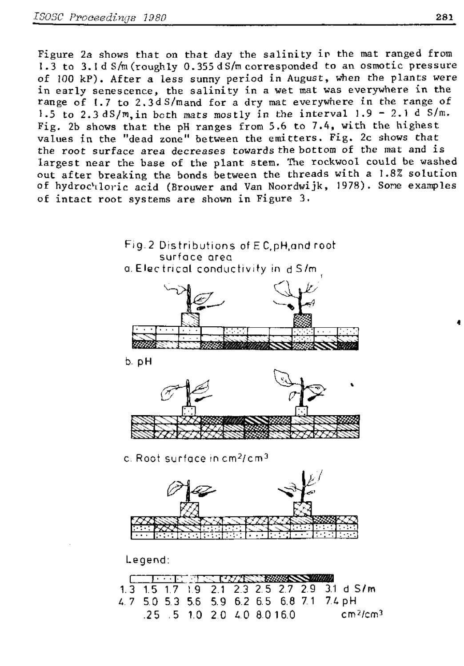Figure 2a shows that on that day the salinity in the mat ranged from 1.3 to 3.1d S/m (roughly 0.355 d S/m corresponded to an osmotic pressure of 100 kP). After a less sunny period in August, when the plants were in early senescence, the salinity in a wet mat was everywhere in the range of 1.7 to 2.3d S/mand for a dry mat everywhere in the range of 1.5 to 2.3 dS/m, in both mats mostly in the interval  $1.9 - 2.1$  d S/m. Fig. 2b shows that the pH ranges from 5.6 to 7.4, with the highest values in the "dead zone" between the emitters. Fig. 2c shows that the root surface area decreases towards the bottom of the mat and is largest near the base of the plant stem. The rockwool could be washed out after breaking the bonds between the threads with a 1.8% solution of hydrochloric acid (Brouwer and Van Noordwijk, 1978). Some examples of intact root systems are shown in Figure 3.

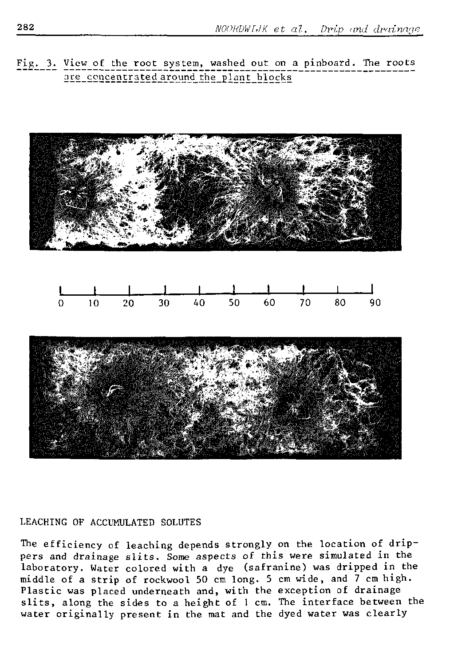Fig. 3. View of the root system, washed out on a pinboard. The roots are concentrated around the plant blocks



### LEACHING OF ACCUMULATED SOLUTES

The efficiency of leaching depends strongly on the location of drippers and drainage slits. Some aspects of this were simulated in the laboratory. Water colored with a dye (safranine) was dripped in the middle of a strip of rockwool 50 cm long. 5 cm wide, and 7 cm high. Plastic was placed underneath and, with the exception of drainage slits, along the sides to a height of 1 cm. The interface between the water originally present in the mat and the dyed water was clearly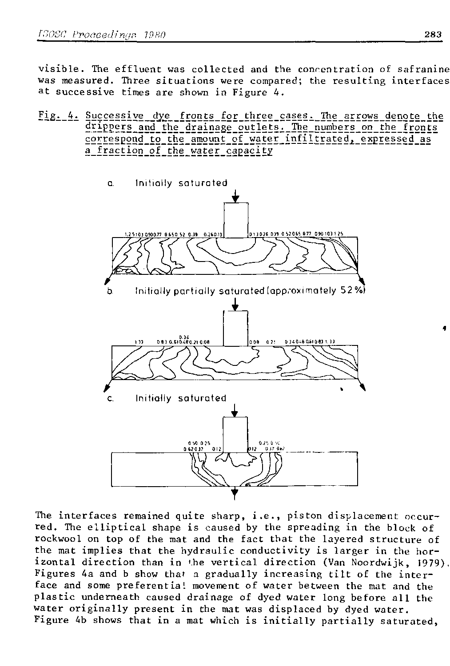visible. The effluent was collected and the concentration of safranine was measured. Three situations were compared; the resulting interfaces at successive times are shown in Figure 4.

Fig. 4. Successive dye fronts for three cases. The arrows denote the drippers and the drainage outlets. The numbers on the fronts correspond to the amount of water infiltrated, expressed as a fraction of the water capacity



The interfaces remained quite sharp, i.e., piston displacement occurred. The elliptical shape is caused by the spreading in the block of rockwool on top of the mat and the fact that the layered structure of the mat implies that the hydraulic conductivity is larger in the horizontal direction than in the vertical direction (Van Noordwijk, 1979). Figures 4a and b show that a gradually increasing tilt of the interface and some preferentia! movement of water between the mat and the plastic underneath caused drainage of dyed water long before all the water originally present in the mat was displaced by dyed water. Figure 4b shows that in a mat which is initially partially saturated,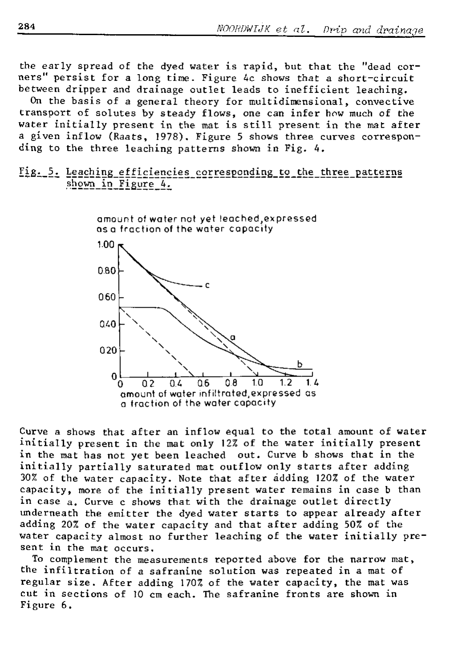the early spread of the dyed water is rapid, but that the "dead corners" persist for a long time. Figure 4c shows that a short-circuit between dripper and drainage outlet leads to inefficient leaching.

On the basis of a general theory for multidimensional, convective transport of solutes by steady flows, one can infer how much of the water initially present in the mat is still present in the mat after a given inflow (Raats, 1978). Figure 5 shows three curves corresponding to the three leaching patterns shown in Fig. 4.

# Fig. 5. Leaching efficiencies corresponding to the three patterns shown in Figure 4.



Curve a shows that after an inflow equal to the total amount of water initially present in the mat only 12% of the water initially present in the mat has not yet been leached out. Curve b shows that in the initially partially saturated mat outflow only starts after adding 30% of the water capacity. Note that after adding 120% of the water capacity, more of the initially present water remains in case b than in case a. Curve c shows that with the drainage outlet directly underneath the emitter the dyed water starts to appear already after adding 20% of the water capacity and that after adding 50% of the water capacity almost no further leaching of the water initially present in the mat occurs.

To complement the measurements reported above for the narrow mat, the infiltration of a safranine solution was repeated in a mat of regular size. After adding 170% of the water capacity, the mat was cut in sections of 10 cm each. The safranine fronts are shown in Figure 6.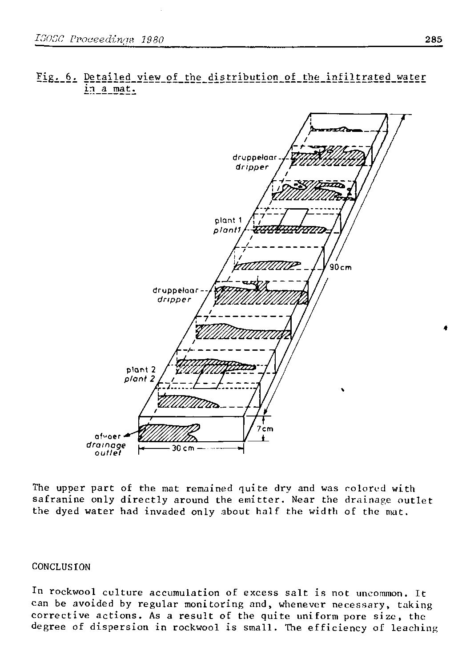# **Fig^\_6<sup>i</sup> P§tailed\_view\_of\_the\_distribution\_of\_the\_infiltrated\_water in a mat.**



The upper part of the mat remained quite dry and was colored with safranine only directly around the emitter. Near the drainage outlet the dyed water had invaded only about half the width of the mat.

### **CONCLUSION**

In rockwool culture accumulation of excess salt is not uncommon. It can be avoided by regular monitoring and, whenever necessary, taking corrective actions. As a result of the quite uniform pore size, the degree of dispersion in rockwool is small. The efficiency of leaching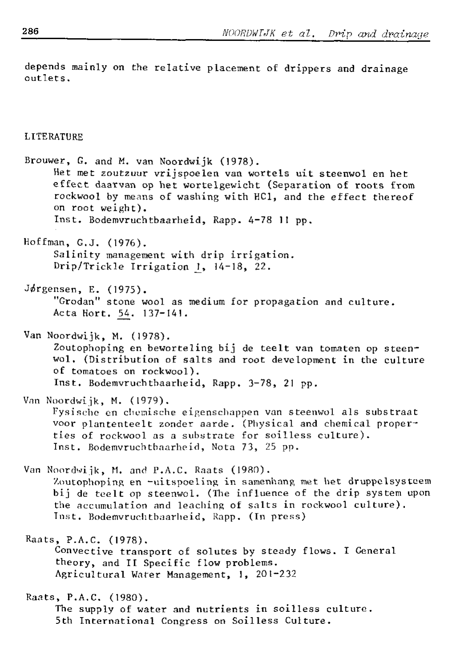depends mainly on the relative placement of drippers and drainage outlets.

### LITERATURE

Brouwer, G. and M. van Noordwijk (1978). Het met zoutzuur vrijspoelen van wortels uit steenwol en het effect daarvan op het wortelgewicht (Separation of roots from rockwool by means of washing with HCl, and the effect thereof on root weight). Inst. Bodemvruchtbaarheid, Rapp. 4-78 II pp.

Hoffman, G.J. (1976). Salinity management with drip irrigation. Drip/Trickle Irrigation *]\_,* 14-18, 22.

Jørgensen, E. (1975). "Grodan" stone wool as medium for propagation and culture. Acta Hort. 54. 137-141.

Van Noordwijk, M. (1978). Zoutophoping en beworteling bij de teelt van tomaten op steenwol. (Distribution of salts and root development in the culture of tomatoes on rockwool). Inst. Bodemvruchtbaarheid, Rapp. 3-78, 21 pp.

Van Noordwijk, M. (1979). Fysische en chemische eigenschappen van steenwol als substraat voor plantenteelt zonder aarde. (Physical and chemical properties of rockwool as a substrate for soilless culture). Inst. Bodemvruchtbaarheid, Nota 73, 25 pp.

Van Noordwijk, M. and P.A.C. Raats (1980). Zoutophoping en -uitspoeling in samenhang met het druppelsysteem bij de teelt op steenwol. (The influence of the drip system upon the accumulation and leaching of salts in rockwool culture). Tnst. Bodemvruchtbaarheid, Rapp. (In press)

**Raats, P.A.C. (1978).**  Convective transport of solutes by steady flows. I General theory, and II Specific flow problems. **Agricultura l Water Management, 1, 201-232** 

Raats, P.A.C. (1980). The supply of water and nutrients in soilless culture. 5th International Congress on Soilless Culture.